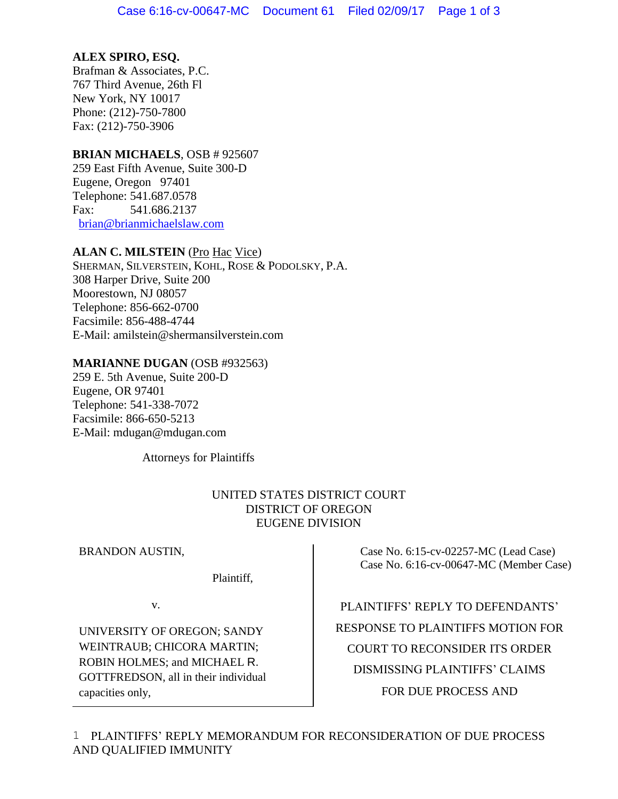## **ALEX SPIRO, ESQ.**

Brafman & Associates, P.C. 767 Third Avenue, 26th Fl New York, NY 10017 Phone: (212)-750-7800 Fax: (212)-750-3906

### **BRIAN MICHAELS**, OSB # 925607

259 East Fifth Avenue, Suite 300-D Eugene, Oregon 97401 Telephone: 541.687.0578 Fax: 541.686.2137 [brian@brianmichaelslaw.com](mailto:brian@brianmichaelslaw.com)

## **ALAN C. MILSTEIN** (Pro Hac Vice)

SHERMAN, SILVERSTEIN, KOHL, ROSE & PODOLSKY, P.A. 308 Harper Drive, Suite 200 Moorestown, NJ 08057 Telephone: 856-662-0700 Facsimile: 856-488-4744 E-Mail: amilstein@shermansilverstein.com

#### **MARIANNE DUGAN** (OSB #932563)

259 E. 5th Avenue, Suite 200-D Eugene, OR 97401 Telephone: 541-338-7072 Facsimile: 866-650-5213 E-Mail: mdugan@mdugan.com

Attorneys for Plaintiffs

## UNITED STATES DISTRICT COURT DISTRICT OF OREGON EUGENE DIVISION

BRANDON AUSTIN,

Plaintiff,

v.

UNIVERSITY OF OREGON; SANDY WEINTRAUB; CHICORA MARTIN; ROBIN HOLMES; and MICHAEL R. GOTTFREDSON, all in their individual capacities only,

 Case No. 6:15-cv-02257-MC (Lead Case) Case No. 6:16-cv-00647-MC (Member Case)

PLAINTIFFS' REPLY TO DEFENDANTS' RESPONSE TO PLAINTIFFS MOTION FOR COURT TO RECONSIDER ITS ORDER DISMISSING PLAINTIFFS' CLAIMS FOR DUE PROCESS AND

PLAINTIFFS' REPLY MEMORANDUM FOR RECONSIDERATION OF DUE PROCESS 1 AND QUALIFIED IMMUNITY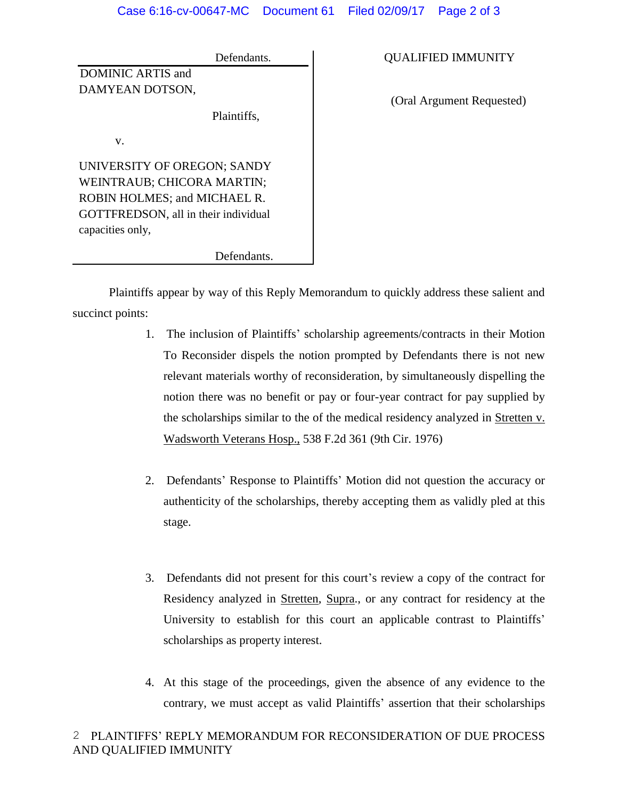Defendants. DOMINIC ARTIS and DAMYEAN DOTSON, Plaintiffs, v. UNIVERSITY OF OREGON; SANDY WEINTRAUB; CHICORA MARTIN; ROBIN HOLMES; and MICHAEL R. GOTTFREDSON, all in their individual capacities only,

Defendants.

QUALIFIED IMMUNITY

(Oral Argument Requested)

Plaintiffs appear by way of this Reply Memorandum to quickly address these salient and succinct points:

- 1. The inclusion of Plaintiffs' scholarship agreements/contracts in their Motion To Reconsider dispels the notion prompted by Defendants there is not new relevant materials worthy of reconsideration, by simultaneously dispelling the notion there was no benefit or pay or four-year contract for pay supplied by the scholarships similar to the of the medical residency analyzed in Stretten v. Wadsworth Veterans Hosp., 538 F.2d 361 (9th Cir. 1976)
- 2. Defendants' Response to Plaintiffs' Motion did not question the accuracy or authenticity of the scholarships, thereby accepting them as validly pled at this stage.
- 3. Defendants did not present for this court's review a copy of the contract for Residency analyzed in Stretten, Supra., or any contract for residency at the University to establish for this court an applicable contrast to Plaintiffs' scholarships as property interest.
- 4. At this stage of the proceedings, given the absence of any evidence to the contrary, we must accept as valid Plaintiffs' assertion that their scholarships